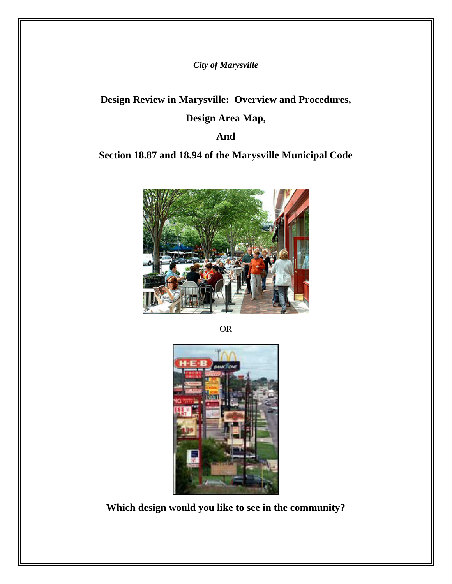*City of Marysville* 

**Design Review in Marysville: Overview and Procedures,** 

# **Design Area Map,**

**And** 

# **Section 18.87 and 18.94 of the Marysville Municipal Code**



OR



**Which design would you like to see in the community?**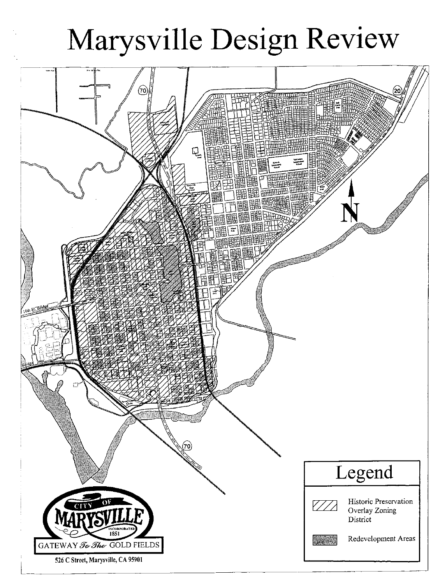# Marysville Design Review

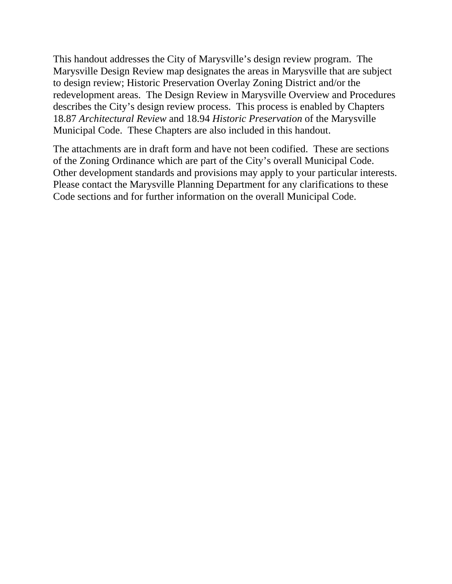This handout addresses the City of Marysville's design review program. The Marysville Design Review map designates the areas in Marysville that are subject to design review; Historic Preservation Overlay Zoning District and/or the redevelopment areas. The Design Review in Marysville Overview and Procedures describes the City's design review process. This process is enabled by Chapters 18.87 *Architectural Review* and 18.94 *Historic Preservation* of the Marysville Municipal Code. These Chapters are also included in this handout.

The attachments are in draft form and have not been codified. These are sections of the Zoning Ordinance which are part of the City's overall Municipal Code. Other development standards and provisions may apply to your particular interests. Please contact the Marysville Planning Department for any clarifications to these Code sections and for further information on the overall Municipal Code.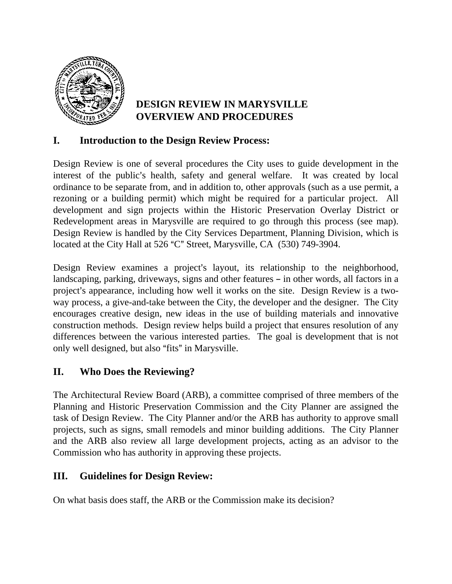

# **DESIGN REVIEW IN MARYSVILLE OVERVIEW AND PROCEDURES**

# **I. Introduction to the Design Review Process:**

Design Review is one of several procedures the City uses to guide development in the interest of the public's health, safety and general welfare. It was created by local ordinance to be separate from, and in addition to, other approvals (such as a use permit, a rezoning or a building permit) which might be required for a particular project. All development and sign projects within the Historic Preservation Overlay District or Redevelopment areas in Marysville are required to go through this process (see map). Design Review is handled by the City Services Department, Planning Division, which is located at the City Hall at 526 "C" Street, Marysville, CA (530) 749-3904.

Design Review examines a project's layout, its relationship to the neighborhood, landscaping, parking, driveways, signs and other features – in other words, all factors in a project's appearance, including how well it works on the site. Design Review is a twoway process, a give-and-take between the City, the developer and the designer. The City encourages creative design, new ideas in the use of building materials and innovative construction methods. Design review helps build a project that ensures resolution of any differences between the various interested parties. The goal is development that is not only well designed, but also "fits" in Marysville.

# **II. Who Does the Reviewing?**

The Architectural Review Board (ARB), a committee comprised of three members of the Planning and Historic Preservation Commission and the City Planner are assigned the task of Design Review. The City Planner and/or the ARB has authority to approve small projects, such as signs, small remodels and minor building additions. The City Planner and the ARB also review all large development projects, acting as an advisor to the Commission who has authority in approving these projects.

# **III. Guidelines for Design Review:**

On what basis does staff, the ARB or the Commission make its decision?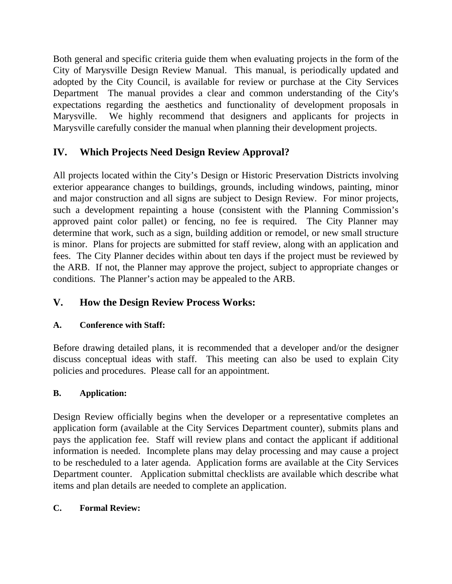Both general and specific criteria guide them when evaluating projects in the form of the City of Marysville Design Review Manual. This manual, is periodically updated and adopted by the City Council, is available for review or purchase at the City Services Department The manual provides a clear and common understanding of the City's expectations regarding the aesthetics and functionality of development proposals in Marysville. We highly recommend that designers and applicants for projects in Marysville carefully consider the manual when planning their development projects.

# **IV. Which Projects Need Design Review Approval?**

All projects located within the City's Design or Historic Preservation Districts involving exterior appearance changes to buildings, grounds, including windows, painting, minor and major construction and all signs are subject to Design Review. For minor projects, such a development repainting a house (consistent with the Planning Commission's approved paint color pallet) or fencing, no fee is required. The City Planner may determine that work, such as a sign, building addition or remodel, or new small structure is minor. Plans for projects are submitted for staff review, along with an application and fees. The City Planner decides within about ten days if the project must be reviewed by the ARB. If not, the Planner may approve the project, subject to appropriate changes or conditions. The Planner's action may be appealed to the ARB.

# **V. How the Design Review Process Works:**

# **A. Conference with Staff:**

Before drawing detailed plans, it is recommended that a developer and/or the designer discuss conceptual ideas with staff. This meeting can also be used to explain City policies and procedures. Please call for an appointment.

# **B. Application:**

Design Review officially begins when the developer or a representative completes an application form (available at the City Services Department counter), submits plans and pays the application fee. Staff will review plans and contact the applicant if additional information is needed. Incomplete plans may delay processing and may cause a project to be rescheduled to a later agenda. Application forms are available at the City Services Department counter. Application submittal checklists are available which describe what items and plan details are needed to complete an application.

# **C. Formal Review:**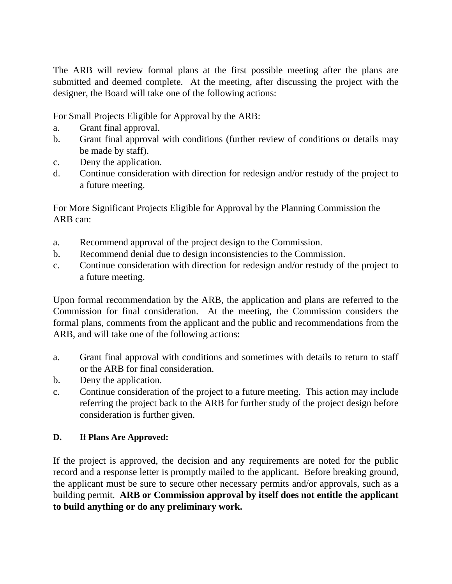The ARB will review formal plans at the first possible meeting after the plans are submitted and deemed complete. At the meeting, after discussing the project with the designer, the Board will take one of the following actions:

For Small Projects Eligible for Approval by the ARB:

- a. Grant final approval.
- b. Grant final approval with conditions (further review of conditions or details may be made by staff).
- c. Deny the application.
- d. Continue consideration with direction for redesign and/or restudy of the project to a future meeting.

For More Significant Projects Eligible for Approval by the Planning Commission the ARB can:

- a. Recommend approval of the project design to the Commission.
- b. Recommend denial due to design inconsistencies to the Commission.
- c. Continue consideration with direction for redesign and/or restudy of the project to a future meeting.

Upon formal recommendation by the ARB, the application and plans are referred to the Commission for final consideration. At the meeting, the Commission considers the formal plans, comments from the applicant and the public and recommendations from the ARB, and will take one of the following actions:

- a. Grant final approval with conditions and sometimes with details to return to staff or the ARB for final consideration.
- b. Deny the application.
- c. Continue consideration of the project to a future meeting. This action may include referring the project back to the ARB for further study of the project design before consideration is further given.

## **D. If Plans Are Approved:**

If the project is approved, the decision and any requirements are noted for the public record and a response letter is promptly mailed to the applicant. Before breaking ground, the applicant must be sure to secure other necessary permits and/or approvals, such as a building permit. **ARB or Commission approval by itself does not entitle the applicant to build anything or do any preliminary work.**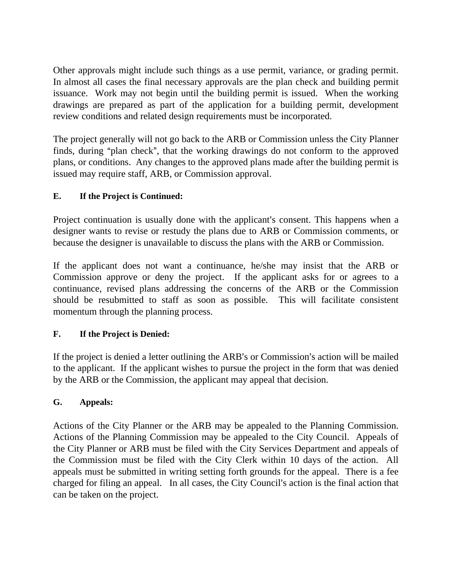Other approvals might include such things as a use permit, variance, or grading permit. In almost all cases the final necessary approvals are the plan check and building permit issuance. Work may not begin until the building permit is issued. When the working drawings are prepared as part of the application for a building permit, development review conditions and related design requirements must be incorporated.

The project generally will not go back to the ARB or Commission unless the City Planner finds, during "plan check", that the working drawings do not conform to the approved plans, or conditions. Any changes to the approved plans made after the building permit is issued may require staff, ARB, or Commission approval.

# **E. If the Project is Continued:**

Project continuation is usually done with the applicant's consent. This happens when a designer wants to revise or restudy the plans due to ARB or Commission comments, or because the designer is unavailable to discuss the plans with the ARB or Commission.

If the applicant does not want a continuance, he/she may insist that the ARB or Commission approve or deny the project. If the applicant asks for or agrees to a continuance, revised plans addressing the concerns of the ARB or the Commission should be resubmitted to staff as soon as possible. This will facilitate consistent momentum through the planning process.

# **F. If the Project is Denied:**

If the project is denied a letter outlining the ARB's or Commission's action will be mailed to the applicant. If the applicant wishes to pursue the project in the form that was denied by the ARB or the Commission, the applicant may appeal that decision.

# **G. Appeals:**

Actions of the City Planner or the ARB may be appealed to the Planning Commission. Actions of the Planning Commission may be appealed to the City Council. Appeals of the City Planner or ARB must be filed with the City Services Department and appeals of the Commission must be filed with the City Clerk within 10 days of the action. All appeals must be submitted in writing setting forth grounds for the appeal. There is a fee charged for filing an appeal. In all cases, the City Council's action is the final action that can be taken on the project.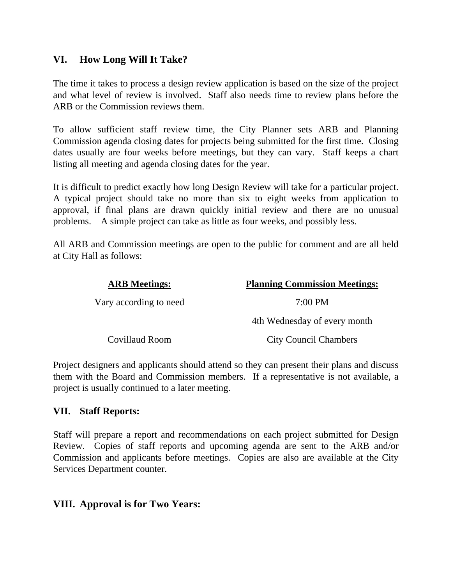# **VI. How Long Will It Take?**

The time it takes to process a design review application is based on the size of the project and what level of review is involved. Staff also needs time to review plans before the ARB or the Commission reviews them.

To allow sufficient staff review time, the City Planner sets ARB and Planning Commission agenda closing dates for projects being submitted for the first time. Closing dates usually are four weeks before meetings, but they can vary. Staff keeps a chart listing all meeting and agenda closing dates for the year.

It is difficult to predict exactly how long Design Review will take for a particular project. A typical project should take no more than six to eight weeks from application to approval, if final plans are drawn quickly initial review and there are no unusual problems. A simple project can take as little as four weeks, and possibly less.

All ARB and Commission meetings are open to the public for comment and are all held at City Hall as follows:

| <b>ARB</b> Meetings:   | <b>Planning Commission Meetings:</b> |
|------------------------|--------------------------------------|
| Vary according to need | $7:00 \text{ PM}$                    |
|                        | 4th Wednesday of every month         |
| Covillaud Room         | <b>City Council Chambers</b>         |

Project designers and applicants should attend so they can present their plans and discuss them with the Board and Commission members. If a representative is not available, a project is usually continued to a later meeting.

# **VII. Staff Reports:**

Staff will prepare a report and recommendations on each project submitted for Design Review. Copies of staff reports and upcoming agenda are sent to the ARB and/or Commission and applicants before meetings. Copies are also are available at the City Services Department counter.

# **VIII. Approval is for Two Years:**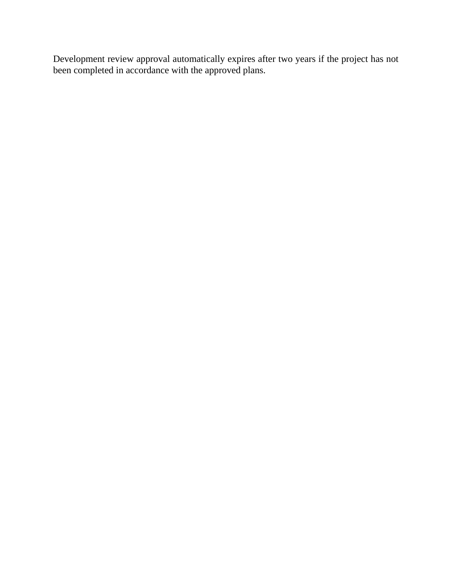Development review approval automatically expires after two years if the project has not been completed in accordance with the approved plans.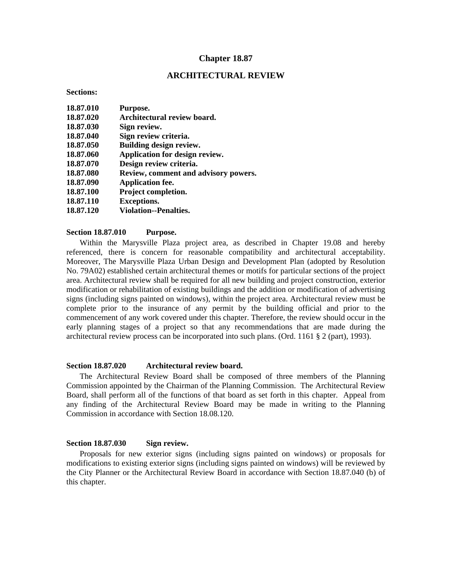## **Chapter 18.87**

## **ARCHITECTURAL REVIEW**

#### **Sections:**

| Review, comment and advisory powers. |
|--------------------------------------|
|                                      |
|                                      |
|                                      |
|                                      |
|                                      |

#### **Section 18.87.010 Purpose.**

 Within the Marysville Plaza project area, as described in Chapter 19.08 and hereby referenced, there is concern for reasonable compatibility and architectural acceptability. Moreover, The Marysville Plaza Urban Design and Development Plan (adopted by Resolution No. 79A02) established certain architectural themes or motifs for particular sections of the project area. Architectural review shall be required for all new building and project construction, exterior modification or rehabilitation of existing buildings and the addition or modification of advertising signs (including signs painted on windows), within the project area. Architectural review must be complete prior to the insurance of any permit by the building official and prior to the commencement of any work covered under this chapter. Therefore, the review should occur in the early planning stages of a project so that any recommendations that are made during the architectural review process can be incorporated into such plans. (Ord. 1161 § 2 (part), 1993).

## **Section 18.87.020 Architectural review board.**

 The Architectural Review Board shall be composed of three members of the Planning Commission appointed by the Chairman of the Planning Commission. The Architectural Review Board, shall perform all of the functions of that board as set forth in this chapter. Appeal from any finding of the Architectural Review Board may be made in writing to the Planning Commission in accordance with Section 18.08.120.

## **Section 18.87.030 Sign review.**

 Proposals for new exterior signs (including signs painted on windows) or proposals for modifications to existing exterior signs (including signs painted on windows) will be reviewed by the City Planner or the Architectural Review Board in accordance with Section 18.87.040 (b) of this chapter.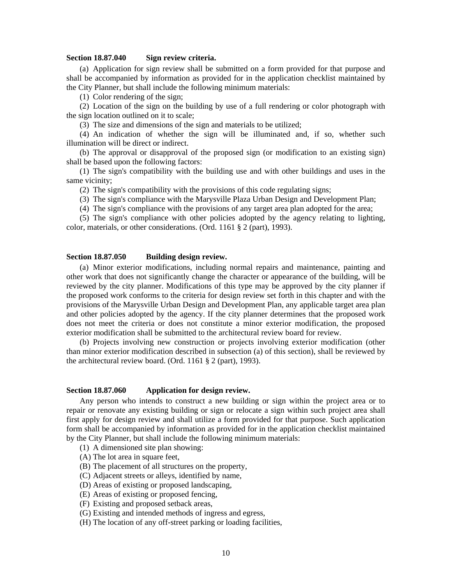#### **Section 18.87.040 Sign review criteria.**

 (a) Application for sign review shall be submitted on a form provided for that purpose and shall be accompanied by information as provided for in the application checklist maintained by the City Planner, but shall include the following minimum materials:

(1) Color rendering of the sign;

 (2) Location of the sign on the building by use of a full rendering or color photograph with the sign location outlined on it to scale;

(3) The size and dimensions of the sign and materials to be utilized;

 (4) An indication of whether the sign will be illuminated and, if so, whether such illumination will be direct or indirect.

 (b) The approval or disapproval of the proposed sign (or modification to an existing sign) shall be based upon the following factors:

 (1) The sign's compatibility with the building use and with other buildings and uses in the same vicinity;

(2) The sign's compatibility with the provisions of this code regulating signs;

(3) The sign's compliance with the Marysville Plaza Urban Design and Development Plan;

(4) The sign's compliance with the provisions of any target area plan adopted for the area;

 (5) The sign's compliance with other policies adopted by the agency relating to lighting, color, materials, or other considerations. (Ord. 1161 § 2 (part), 1993).

#### **Section 18.87.050 Building design review.**

 (a) Minor exterior modifications, including normal repairs and maintenance, painting and other work that does not significantly change the character or appearance of the building, will be reviewed by the city planner. Modifications of this type may be approved by the city planner if the proposed work conforms to the criteria for design review set forth in this chapter and with the provisions of the Marysville Urban Design and Development Plan, any applicable target area plan and other policies adopted by the agency. If the city planner determines that the proposed work does not meet the criteria or does not constitute a minor exterior modification, the proposed exterior modification shall be submitted to the architectural review board for review.

 (b) Projects involving new construction or projects involving exterior modification (other than minor exterior modification described in subsection (a) of this section), shall be reviewed by the architectural review board. (Ord. 1161 § 2 (part), 1993).

#### **Section 18.87.060 Application for design review.**

 Any person who intends to construct a new building or sign within the project area or to repair or renovate any existing building or sign or relocate a sign within such project area shall first apply for design review and shall utilize a form provided for that purpose. Such application form shall be accompanied by information as provided for in the application checklist maintained by the City Planner, but shall include the following minimum materials:

(1) A dimensioned site plan showing:

(A) The lot area in square feet,

- (B) The placement of all structures on the property,
- (C) Adjacent streets or alleys, identified by name,
- (D) Areas of existing or proposed landscaping,
- (E) Areas of existing or proposed fencing,
- (F) Existing and proposed setback areas,
- (G) Existing and intended methods of ingress and egress,

(H) The location of any off-street parking or loading facilities,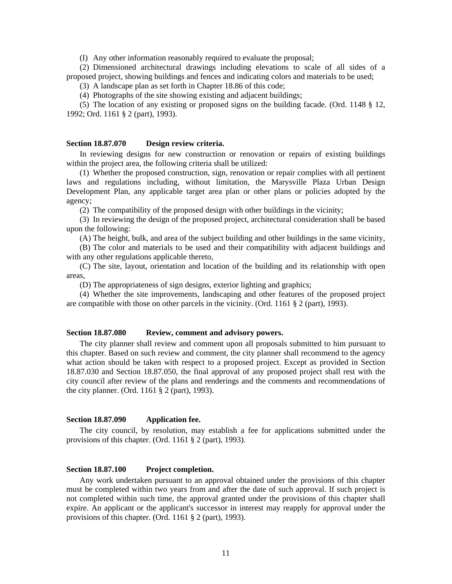(I) Any other information reasonably required to evaluate the proposal;

 (2) Dimensioned architectural drawings including elevations to scale of all sides of a proposed project, showing buildings and fences and indicating colors and materials to be used;

(3) A landscape plan as set forth in Chapter 18.86 of this code;

(4) Photographs of the site showing existing and adjacent buildings;

 (5) The location of any existing or proposed signs on the building facade. (Ord. 1148 § 12, 1992; Ord. 1161 § 2 (part), 1993).

## **Section 18.87.070 Design review criteria.**

 In reviewing designs for new construction or renovation or repairs of existing buildings within the project area, the following criteria shall be utilized:

 (1) Whether the proposed construction, sign, renovation or repair complies with all pertinent laws and regulations including, without limitation, the Marysville Plaza Urban Design Development Plan, any applicable target area plan or other plans or policies adopted by the agency;

(2) The compatibility of the proposed design with other buildings in the vicinity;

 (3) In reviewing the design of the proposed project, architectural consideration shall be based upon the following:

(A) The height, bulk, and area of the subject building and other buildings in the same vicinity,

 (B) The color and materials to be used and their compatibility with adjacent buildings and with any other regulations applicable thereto.

 (C) The site, layout, orientation and location of the building and its relationship with open areas,

(D) The appropriateness of sign designs, exterior lighting and graphics;

 (4) Whether the site improvements, landscaping and other features of the proposed project are compatible with those on other parcels in the vicinity. (Ord. 1161  $\S$  2 (part), 1993).

#### **Section 18.87.080 Review, comment and advisory powers.**

 The city planner shall review and comment upon all proposals submitted to him pursuant to this chapter. Based on such review and comment, the city planner shall recommend to the agency what action should be taken with respect to a proposed project. Except as provided in Section 18.87.030 and Section 18.87.050, the final approval of any proposed project shall rest with the city council after review of the plans and renderings and the comments and recommendations of the city planner. (Ord. 1161 § 2 (part), 1993).

#### **Section 18.87.090 Application fee.**

 The city council, by resolution, may establish a fee for applications submitted under the provisions of this chapter. (Ord. 1161 § 2 (part), 1993).

#### **Section 18.87.100 Project completion.**

 Any work undertaken pursuant to an approval obtained under the provisions of this chapter must be completed within two years from and after the date of such approval. If such project is not completed within such time, the approval granted under the provisions of this chapter shall expire. An applicant or the applicant's successor in interest may reapply for approval under the provisions of this chapter. (Ord. 1161 § 2 (part), 1993).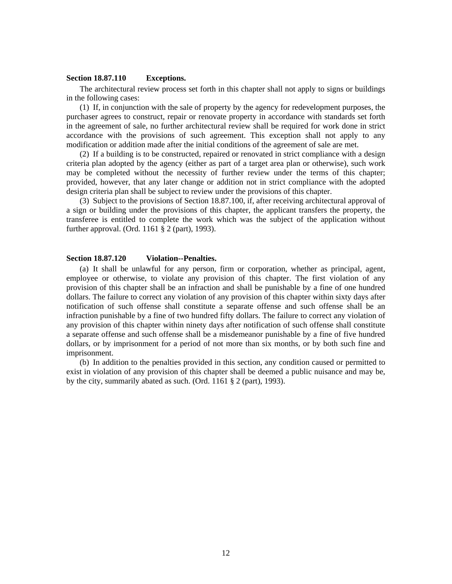#### **Section 18.87.110 Exceptions.**

 The architectural review process set forth in this chapter shall not apply to signs or buildings in the following cases:

 (1) If, in conjunction with the sale of property by the agency for redevelopment purposes, the purchaser agrees to construct, repair or renovate property in accordance with standards set forth in the agreement of sale, no further architectural review shall be required for work done in strict accordance with the provisions of such agreement. This exception shall not apply to any modification or addition made after the initial conditions of the agreement of sale are met.

 (2) If a building is to be constructed, repaired or renovated in strict compliance with a design criteria plan adopted by the agency (either as part of a target area plan or otherwise), such work may be completed without the necessity of further review under the terms of this chapter; provided, however, that any later change or addition not in strict compliance with the adopted design criteria plan shall be subject to review under the provisions of this chapter.

 (3) Subject to the provisions of Section 18.87.100, if, after receiving architectural approval of a sign or building under the provisions of this chapter, the applicant transfers the property, the transferee is entitled to complete the work which was the subject of the application without further approval. (Ord. 1161 § 2 (part), 1993).

#### **Section 18.87.120 Violation--Penalties.**

 (a) It shall be unlawful for any person, firm or corporation, whether as principal, agent, employee or otherwise, to violate any provision of this chapter. The first violation of any provision of this chapter shall be an infraction and shall be punishable by a fine of one hundred dollars. The failure to correct any violation of any provision of this chapter within sixty days after notification of such offense shall constitute a separate offense and such offense shall be an infraction punishable by a fine of two hundred fifty dollars. The failure to correct any violation of any provision of this chapter within ninety days after notification of such offense shall constitute a separate offense and such offense shall be a misdemeanor punishable by a fine of five hundred dollars, or by imprisonment for a period of not more than six months, or by both such fine and imprisonment.

 (b) In addition to the penalties provided in this section, any condition caused or permitted to exist in violation of any provision of this chapter shall be deemed a public nuisance and may be, by the city, summarily abated as such. (Ord. 1161 § 2 (part), 1993).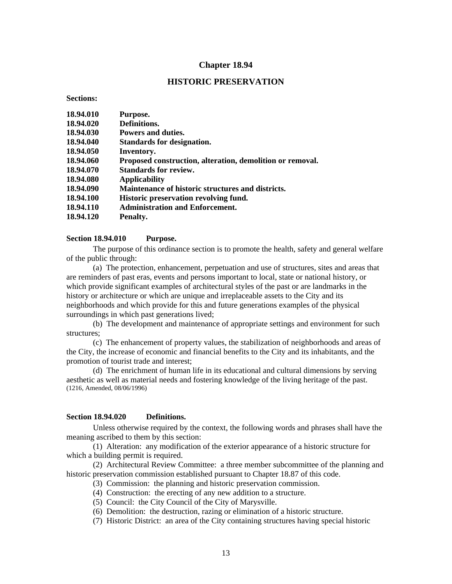## **Chapter 18.94**

## **HISTORIC PRESERVATION**

**Sections:** 

| 18.94.010 | Purpose.                                                  |
|-----------|-----------------------------------------------------------|
| 18.94.020 | Definitions.                                              |
| 18.94.030 | Powers and duties.                                        |
| 18.94.040 | Standards for designation.                                |
| 18.94.050 | Inventory.                                                |
| 18.94.060 | Proposed construction, alteration, demolition or removal. |
| 18.94.070 | <b>Standards for review.</b>                              |
| 18.94.080 | Applicability                                             |
| 18.94.090 | Maintenance of historic structures and districts.         |
| 18.94.100 | <b>Historic preservation revolving fund.</b>              |
| 18.94.110 | <b>Administration and Enforcement.</b>                    |
| 18.94.120 | Penalty.                                                  |

#### **Section 18.94.010 Purpose.**

 The purpose of this ordinance section is to promote the health, safety and general welfare of the public through:

 (a) The protection, enhancement, perpetuation and use of structures, sites and areas that are reminders of past eras, events and persons important to local, state or national history, or which provide significant examples of architectural styles of the past or are landmarks in the history or architecture or which are unique and irreplaceable assets to the City and its neighborhoods and which provide for this and future generations examples of the physical surroundings in which past generations lived;

 (b) The development and maintenance of appropriate settings and environment for such structures;

 (c) The enhancement of property values, the stabilization of neighborhoods and areas of the City, the increase of economic and financial benefits to the City and its inhabitants, and the promotion of tourist trade and interest;

 (d) The enrichment of human life in its educational and cultural dimensions by serving aesthetic as well as material needs and fostering knowledge of the living heritage of the past. (1216, Amended, 08/06/1996)

#### **Section 18.94.020 Definitions.**

 Unless otherwise required by the context, the following words and phrases shall have the meaning ascribed to them by this section:

 (1) Alteration: any modification of the exterior appearance of a historic structure for which a building permit is required.

 (2) Architectural Review Committee: a three member subcommittee of the planning and historic preservation commission established pursuant to Chapter 18.87 of this code.

- (3) Commission: the planning and historic preservation commission.
- (4) Construction: the erecting of any new addition to a structure.
- (5) Council: the City Council of the City of Marysville.
- (6) Demolition: the destruction, razing or elimination of a historic structure.
- (7) Historic District: an area of the City containing structures having special historic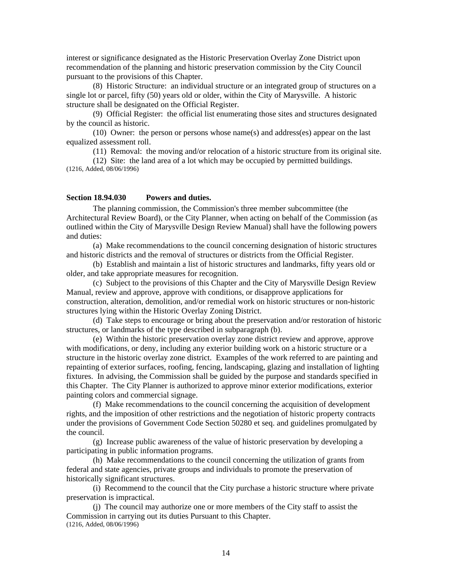interest or significance designated as the Historic Preservation Overlay Zone District upon recommendation of the planning and historic preservation commission by the City Council pursuant to the provisions of this Chapter.

 (8) Historic Structure: an individual structure or an integrated group of structures on a single lot or parcel, fifty (50) years old or older, within the City of Marysville. A historic structure shall be designated on the Official Register.

 (9) Official Register: the official list enumerating those sites and structures designated by the council as historic.

 (10) Owner: the person or persons whose name(s) and address(es) appear on the last equalized assessment roll.

(11) Removal: the moving and/or relocation of a historic structure from its original site.

 (12) Site: the land area of a lot which may be occupied by permitted buildings. (1216, Added, 08/06/1996)

#### **Section 18.94.030 Powers and duties.**

 The planning commission, the Commission's three member subcommittee (the Architectural Review Board), or the City Planner, when acting on behalf of the Commission (as outlined within the City of Marysville Design Review Manual) shall have the following powers and duties:

 (a) Make recommendations to the council concerning designation of historic structures and historic districts and the removal of structures or districts from the Official Register.

 (b) Establish and maintain a list of historic structures and landmarks, fifty years old or older, and take appropriate measures for recognition.

 (c) Subject to the provisions of this Chapter and the City of Marysville Design Review Manual, review and approve, approve with conditions, or disapprove applications for construction, alteration, demolition, and/or remedial work on historic structures or non-historic structures lying within the Historic Overlay Zoning District.

 (d) Take steps to encourage or bring about the preservation and/or restoration of historic structures, or landmarks of the type described in subparagraph (b).

 (e) Within the historic preservation overlay zone district review and approve, approve with modifications, or deny, including any exterior building work on a historic structure or a structure in the historic overlay zone district. Examples of the work referred to are painting and repainting of exterior surfaces, roofing, fencing, landscaping, glazing and installation of lighting fixtures. In advising, the Commission shall be guided by the purpose and standards specified in this Chapter. The City Planner is authorized to approve minor exterior modifications, exterior painting colors and commercial signage.

 (f) Make recommendations to the council concerning the acquisition of development rights, and the imposition of other restrictions and the negotiation of historic property contracts under the provisions of Government Code Section 50280 et seq. and guidelines promulgated by the council.

 (g) Increase public awareness of the value of historic preservation by developing a participating in public information programs.

 (h) Make recommendations to the council concerning the utilization of grants from federal and state agencies, private groups and individuals to promote the preservation of historically significant structures.

 (i) Recommend to the council that the City purchase a historic structure where private preservation is impractical.

 (j) The council may authorize one or more members of the City staff to assist the Commission in carrying out its duties Pursuant to this Chapter. (1216, Added, 08/06/1996)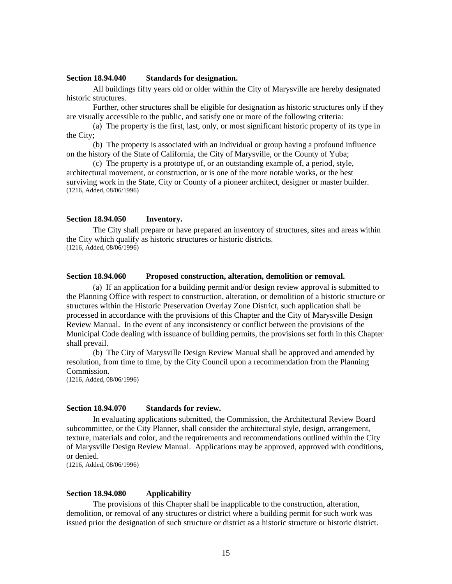#### **Section 18.94.040 Standards for designation.**

 All buildings fifty years old or older within the City of Marysville are hereby designated historic structures.

 Further, other structures shall be eligible for designation as historic structures only if they are visually accessible to the public, and satisfy one or more of the following criteria:

 (a) The property is the first, last, only, or most significant historic property of its type in the City;

 (b) The property is associated with an individual or group having a profound influence on the history of the State of California, the City of Marysville, or the County of Yuba;

 (c) The property is a prototype of, or an outstanding example of, a period, style, architectural movement, or construction, or is one of the more notable works, or the best surviving work in the State, City or County of a pioneer architect, designer or master builder. (1216, Added, 08/06/1996)

## **Section 18.94.050 Inventory.**

 The City shall prepare or have prepared an inventory of structures, sites and areas within the City which qualify as historic structures or historic districts. (1216, Added, 08/06/1996)

#### **Section 18.94.060 Proposed construction, alteration, demolition or removal.**

 (a) If an application for a building permit and/or design review approval is submitted to the Planning Office with respect to construction, alteration, or demolition of a historic structure or structures within the Historic Preservation Overlay Zone District, such application shall be processed in accordance with the provisions of this Chapter and the City of Marysville Design Review Manual. In the event of any inconsistency or conflict between the provisions of the Municipal Code dealing with issuance of building permits, the provisions set forth in this Chapter shall prevail.

 (b) The City of Marysville Design Review Manual shall be approved and amended by resolution, from time to time, by the City Council upon a recommendation from the Planning Commission.

(1216, Added, 08/06/1996)

## **Section 18.94.070 Standards for review.**

 In evaluating applications submitted, the Commission, the Architectural Review Board subcommittee, or the City Planner, shall consider the architectural style, design, arrangement, texture, materials and color, and the requirements and recommendations outlined within the City of Marysville Design Review Manual. Applications may be approved, approved with conditions, or denied.

(1216, Added, 08/06/1996)

#### **Section 18.94.080 Applicability**

 The provisions of this Chapter shall be inapplicable to the construction, alteration, demolition, or removal of any structures or district where a building permit for such work was issued prior the designation of such structure or district as a historic structure or historic district.